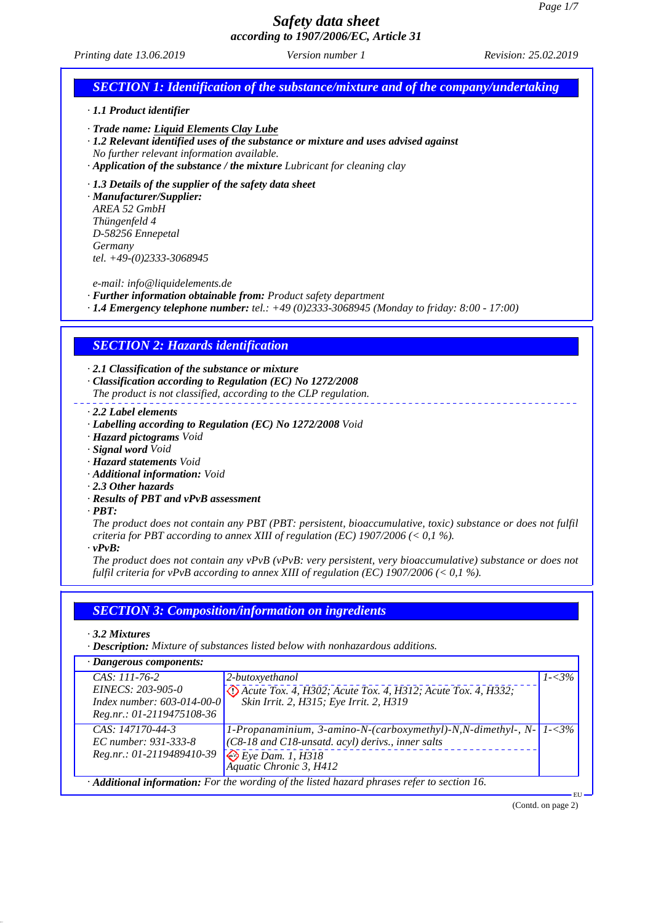*Printing date 13.06.2019 Revision: 25.02.2019 Version number 1*

## *SECTION 1: Identification of the substance/mixture and of the company/undertaking · 1.1 Product identifier · Trade name: Liquid Elements Clay Lube · 1.2 Relevant identified uses of the substance or mixture and uses advised against No further relevant information available. · Application of the substance / the mixture Lubricant for cleaning clay · 1.3 Details of the supplier of the safety data sheet · Manufacturer/Supplier: AREA 52 GmbH Thüngenfeld 4 D-58256 Ennepetal Germany tel. +49-(0)2333-3068945 e-mail: info@liquidelements.de · Further information obtainable from: Product safety department · 1.4 Emergency telephone number: tel.: +49 (0)2333-3068945 (Monday to friday: 8:00 - 17:00) SECTION 2: Hazards identification · 2.1 Classification of the substance or mixture · Classification according to Regulation (EC) No 1272/2008 The product is not classified, according to the CLP regulation. · 2.2 Label elements · Labelling according to Regulation (EC) No 1272/2008 Void · Hazard pictograms Void · Signal word Void · Hazard statements Void · Additional information: Void · 2.3 Other hazards · Results of PBT and vPvB assessment · PBT: The product does not contain any PBT (PBT: persistent, bioaccumulative, toxic) substance or does not fulfil criteria for PBT according to annex XIII of regulation (EC) 1907/2006 (< 0,1 %). · vPvB: The product does not contain any vPvB (vPvB: very persistent, very bioaccumulative) substance or does not fulfil criteria for vPvB according to annex XIII of regulation (EC) 1907/2006 (< 0,1 %). SECTION 3: Composition/information on ingredients · 3.2 Mixtures · Description: Mixture of substances listed below with nonhazardous additions. · Dangerous components: CAS: 111-76-2 EINECS: 203-905-0 Index number: 603-014-00-0 Reg.nr.: 01-2119475108-36 2-butoxyethanol Acute Tox. 4, H302; Acute Tox. 4, H312; Acute Tox. 4, H332; Skin Irrit. 2, H315; Eye Irrit. 2, H319 1-<3% CAS: 147170-44-3 EC number: 931-333-8 Reg.nr.: 01-2119489410-39 1-Propanaminium, 3-amino-N-(carboxymethyl)-N,N-dimethyl-, N- (C8-18 and C18-unsatd. acyl) derivs., inner salts Eye Dam. 1, H318 Aquatic Chronic 3, H412 1-<3% · Additional information: For the wording of the listed hazard phrases refer to section 16.* EU (Contd. on page 2)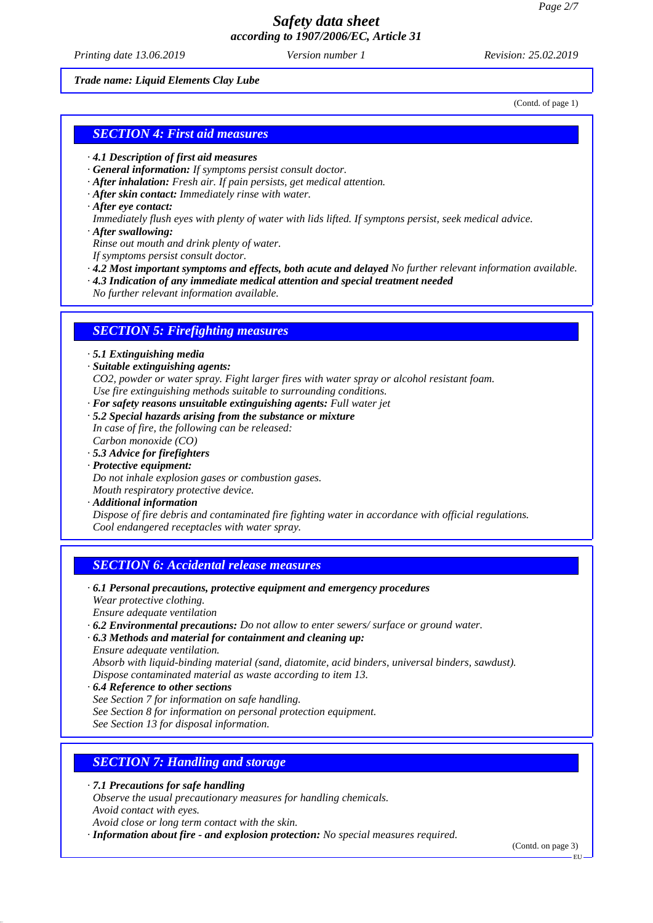*Printing date 13.06.2019 Revision: 25.02.2019 Version number 1*

#### *Trade name: Liquid Elements Clay Lube*

(Contd. of page 1)

### *SECTION 4: First aid measures*

- *· 4.1 Description of first aid measures*
- *· General information: If symptoms persist consult doctor.*
- *· After inhalation: Fresh air. If pain persists, get medical attention.*
- *· After skin contact: Immediately rinse with water.*
- *· After eye contact:*
- *Immediately flush eyes with plenty of water with lids lifted. If symptons persist, seek medical advice.*
- *· After swallowing:*
- *Rinse out mouth and drink plenty of water.*
- *If symptoms persist consult doctor.*
- *· 4.2 Most important symptoms and effects, both acute and delayed No further relevant information available.*
- *· 4.3 Indication of any immediate medical attention and special treatment needed*
- *No further relevant information available.*

#### *SECTION 5: Firefighting measures*

*· 5.1 Extinguishing media*

- *· Suitable extinguishing agents:*
- *CO2, powder or water spray. Fight larger fires with water spray or alcohol resistant foam. Use fire extinguishing methods suitable to surrounding conditions.*
- *· For safety reasons unsuitable extinguishing agents: Full water jet*
- *· 5.2 Special hazards arising from the substance or mixture*

*In case of fire, the following can be released: Carbon monoxide (CO)*

- *· 5.3 Advice for firefighters*
- *· Protective equipment:*
- *Do not inhale explosion gases or combustion gases. Mouth respiratory protective device.*
- 
- *· Additional information*

*Dispose of fire debris and contaminated fire fighting water in accordance with official regulations. Cool endangered receptacles with water spray.*

## *SECTION 6: Accidental release measures*

*· 6.1 Personal precautions, protective equipment and emergency procedures Wear protective clothing.*

*Ensure adequate ventilation*

- *· 6.2 Environmental precautions: Do not allow to enter sewers/ surface or ground water.*
- *· 6.3 Methods and material for containment and cleaning up: Ensure adequate ventilation.*

*Absorb with liquid-binding material (sand, diatomite, acid binders, universal binders, sawdust). Dispose contaminated material as waste according to item 13.*

- *· 6.4 Reference to other sections*
- *See Section 7 for information on safe handling.*
- *See Section 8 for information on personal protection equipment.*

*See Section 13 for disposal information.*

## *SECTION 7: Handling and storage*

- *· 7.1 Precautions for safe handling*
- *Observe the usual precautionary measures for handling chemicals.*
- *Avoid contact with eyes.*

*Avoid close or long term contact with the skin.*

*· Information about fire - and explosion protection: No special measures required.*

(Contd. on page 3)

EU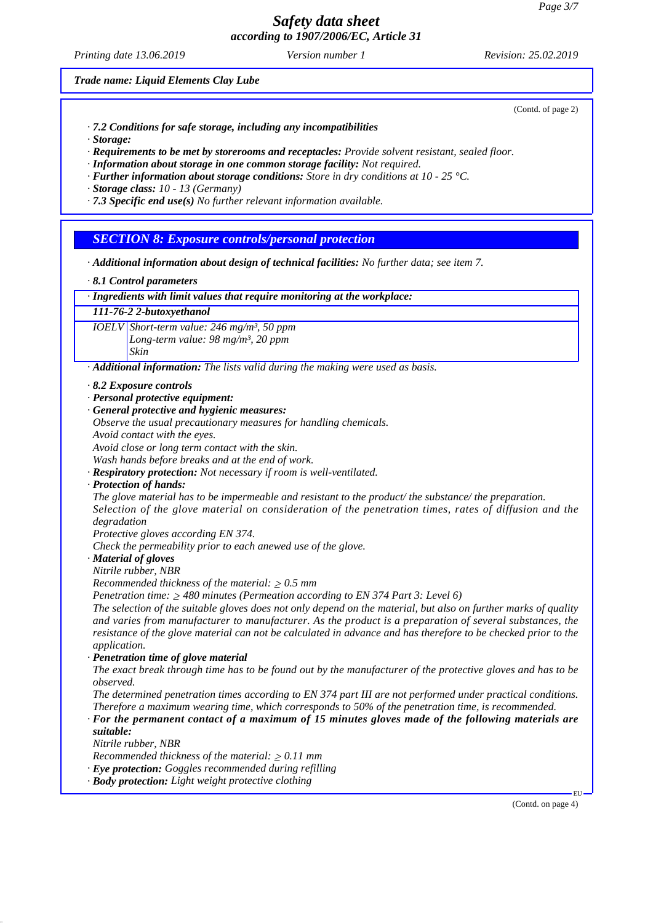*Printing date 13.06.2019 Revision: 25.02.2019 Version number 1*

(Contd. of page 2)

*Trade name: Liquid Elements Clay Lube*

*· 7.2 Conditions for safe storage, including any incompatibilities*

*· Storage:*

*· Requirements to be met by storerooms and receptacles: Provide solvent resistant, sealed floor.*

*· Information about storage in one common storage facility: Not required.*

*· Further information about storage conditions: Store in dry conditions at 10 - 25 °C.*

*· Storage class: 10 - 13 (Germany)*

*· 7.3 Specific end use(s) No further relevant information available.*

*SECTION 8: Exposure controls/personal protection*

*· Additional information about design of technical facilities: No further data; see item 7.*

*· 8.1 Control parameters*

*· Ingredients with limit values that require monitoring at the workplace:*

*111-76-2 2-butoxyethanol*

*IOELV Short-term value: 246 mg/m³, 50 ppm Long-term value: 98 mg/m³, 20 ppm Skin*

*· Additional information: The lists valid during the making were used as basis.*

*· 8.2 Exposure controls*

*· Personal protective equipment:*

- *· General protective and hygienic measures:*
- *Observe the usual precautionary measures for handling chemicals.*

*Avoid contact with the eyes.*

*Avoid close or long term contact with the skin.*

*Wash hands before breaks and at the end of work.*

*· Respiratory protection: Not necessary if room is well-ventilated.*

*· Protection of hands:*

*The glove material has to be impermeable and resistant to the product/ the substance/ the preparation. Selection of the glove material on consideration of the penetration times, rates of diffusion and the degradation*

*Protective gloves according EN 374.*

*Check the permeability prior to each anewed use of the glove.*

*· Material of gloves*

*Nitrile rubber, NBR*

*Recommended thickness of the material:*  $\geq 0.5$  *mm* 

*Penetration time: 480 minutes (Permeation according to EN 374 Part 3: Level 6)*

*The selection of the suitable gloves does not only depend on the material, but also on further marks of quality and varies from manufacturer to manufacturer. As the product is a preparation of several substances, the resistance of the glove material can not be calculated in advance and has therefore to be checked prior to the application.*

*· Penetration time of glove material*

*The exact break through time has to be found out by the manufacturer of the protective gloves and has to be observed.*

*The determined penetration times according to EN 374 part III are not performed under practical conditions. Therefore a maximum wearing time, which corresponds to 50% of the penetration time, is recommended.*

*· For the permanent contact of a maximum of 15 minutes gloves made of the following materials are suitable:*

*Nitrile rubber, NBR*

*Recommended thickness of the material:*  $\geq 0.11$  *mm* 

- *· Eye protection: Goggles recommended during refilling*
- *· Body protection: Light weight protective clothing*

(Contd. on page 4)

EU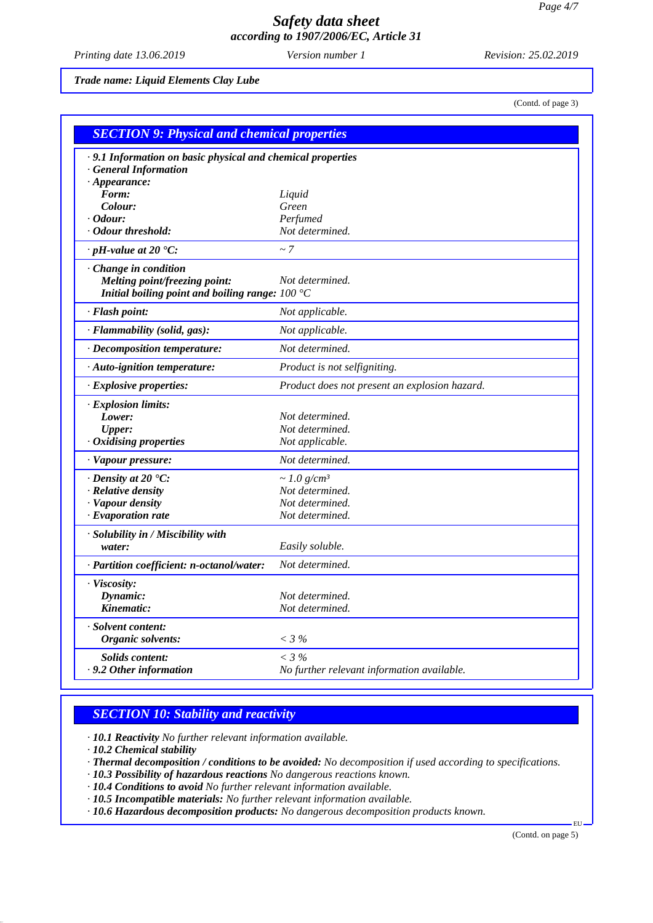*Printing date 13.06.2019 Revision: 25.02.2019 Version number 1*

*Trade name: Liquid Elements Clay Lube*

(Contd. of page 3)

| <b>SECTION 9: Physical and chemical properties</b>         |                                               |  |
|------------------------------------------------------------|-----------------------------------------------|--|
| .9.1 Information on basic physical and chemical properties |                                               |  |
| <b>General Information</b>                                 |                                               |  |
| $\cdot$ Appearance:                                        |                                               |  |
| Form:                                                      | Liquid                                        |  |
| Colour:                                                    | Green                                         |  |
| · Odour:                                                   | Perfumed                                      |  |
| · Odour threshold:                                         | Not determined.                               |  |
| $\cdot$ pH-value at 20 $\textdegree$ C:                    | $\sim$ 7                                      |  |
| Change in condition                                        |                                               |  |
| Melting point/freezing point:                              | Not determined.                               |  |
| Initial boiling point and boiling range: $100 °C$          |                                               |  |
| · Flash point:                                             | Not applicable.                               |  |
| · Flammability (solid, gas):                               | Not applicable.                               |  |
| · Decomposition temperature:                               | Not determined.                               |  |
| · Auto-ignition temperature:                               | Product is not selfigniting.                  |  |
| · Explosive properties:                                    | Product does not present an explosion hazard. |  |
| · Explosion limits:                                        |                                               |  |
| Lower:                                                     | Not determined.                               |  |
| <b>Upper:</b>                                              | Not determined.                               |  |
| Oxidising properties                                       | Not applicable.                               |  |
| · Vapour pressure:                                         | Not determined.                               |  |
| $\cdot$ Density at 20 $\textdegree$ C:                     | $\sim$ 1.0 g/cm <sup>3</sup>                  |  |
| · Relative density                                         | Not determined.                               |  |
| · Vapour density                                           | Not determined.                               |  |
| $\cdot$ Evaporation rate                                   | Not determined.                               |  |
| · Solubility in / Miscibility with                         |                                               |  |
| water:                                                     | Easily soluble.                               |  |
| · Partition coefficient: n-octanol/water:                  | Not determined.                               |  |
| · Viscosity:                                               |                                               |  |
| Dynamic:                                                   | Not determined.                               |  |
| Kinematic:                                                 | Not determined.                               |  |
| · Solvent content:                                         |                                               |  |
| Organic solvents:                                          | $<$ 3 %                                       |  |
| Solids content:                                            | $<$ 3 %                                       |  |
| .9.2 Other information                                     | No further relevant information available.    |  |

## *SECTION 10: Stability and reactivity*

*· 10.1 Reactivity No further relevant information available.*

*· 10.2 Chemical stability*

*· Thermal decomposition / conditions to be avoided: No decomposition if used according to specifications.*

*· 10.3 Possibility of hazardous reactions No dangerous reactions known.*

- *· 10.4 Conditions to avoid No further relevant information available.*
- *· 10.5 Incompatible materials: No further relevant information available.*
- *· 10.6 Hazardous decomposition products: No dangerous decomposition products known.*

(Contd. on page 5)

EU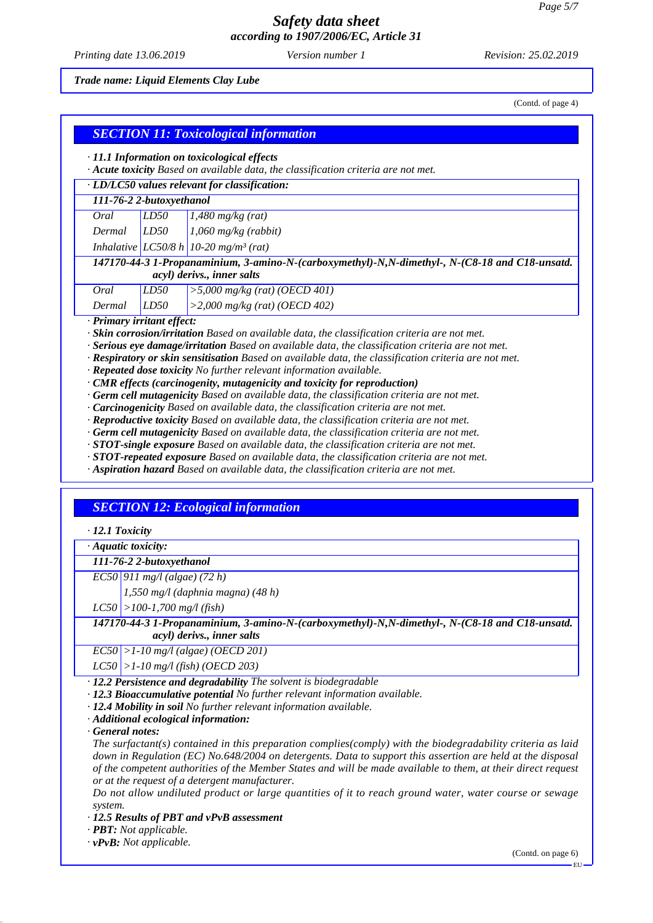*Printing date 13.06.2019 Revision: 25.02.2019 Version number 1*

*Trade name: Liquid Elements Clay Lube*

(Contd. of page 4)

| · 11.1 Information on toxicological effects<br>· Acute toxicity Based on available data, the classification criteria are not met. |      |                                                   |  |
|-----------------------------------------------------------------------------------------------------------------------------------|------|---------------------------------------------------|--|
| · LD/LC50 values relevant for classification:                                                                                     |      |                                                   |  |
| 111-76-2 2-butoxyethanol                                                                                                          |      |                                                   |  |
| Oral                                                                                                                              | LD50 | $1,480$ mg/kg (rat)                               |  |
| Dermal                                                                                                                            | LD50 | $1,060$ mg/kg (rabbit)                            |  |
|                                                                                                                                   |      | Inhalative LC50/8 h 10-20 mg/m <sup>3</sup> (rat) |  |
| 147170-44-3 1-Propanaminium, 3-amino-N-(carboxymethyl)-N,N-dimethyl-, N-(C8-18 and C18-unsatd.<br>acyl) derivs., inner salts      |      |                                                   |  |
| Oral                                                                                                                              | LD50 | $>$ 5,000 mg/kg (rat) (OECD 401)                  |  |
| Dermal                                                                                                                            | LD50 | $>2,000$ mg/kg (rat) (OECD 402)                   |  |

*· Serious eye damage/irritation Based on available data, the classification criteria are not met.*

*· Respiratory or skin sensitisation Based on available data, the classification criteria are not met.*

*· Repeated dose toxicity No further relevant information available.*

*· CMR effects (carcinogenity, mutagenicity and toxicity for reproduction)*

*· Germ cell mutagenicity Based on available data, the classification criteria are not met.*

*· Carcinogenicity Based on available data, the classification criteria are not met.*

*· Reproductive toxicity Based on available data, the classification criteria are not met.*

*· Germ cell mutagenicity Based on available data, the classification criteria are not met.*

*· STOT-single exposure Based on available data, the classification criteria are not met.*

*· STOT-repeated exposure Based on available data, the classification criteria are not met.*

*· Aspiration hazard Based on available data, the classification criteria are not met.*

## *SECTION 12: Ecological information*

*· 12.1 Toxicity*

*· Aquatic toxicity:*

*111-76-2 2-butoxyethanol*

*EC50 911 mg/l (algae) (72 h)*

*1,550 mg/l (daphnia magna) (48 h)*

*LC50 >100-1,700 mg/l (fish)*

*147170-44-3 1-Propanaminium, 3-amino-N-(carboxymethyl)-N,N-dimethyl-, N-(C8-18 and C18-unsatd. acyl) derivs., inner salts*

*EC50 >1-10 mg/l (algae) (OECD 201)*

*LC50 >1-10 mg/l (fish) (OECD 203)*

*· 12.2 Persistence and degradability The solvent is biodegradable*

*· 12.3 Bioaccumulative potential No further relevant information available.*

*· 12.4 Mobility in soil No further relevant information available.*

*· Additional ecological information:*

*· General notes:*

*The surfactant(s) contained in this preparation complies(comply) with the biodegradability criteria as laid down in Regulation (EC) No.648/2004 on detergents. Data to support this assertion are held at the disposal of the competent authorities of the Member States and will be made available to them, at their direct request or at the request of a detergent manufacturer.*

*Do not allow undiluted product or large quantities of it to reach ground water, water course or sewage system.*

*· 12.5 Results of PBT and vPvB assessment*

*· PBT: Not applicable.*

*· vPvB: Not applicable.*

(Contd. on page 6)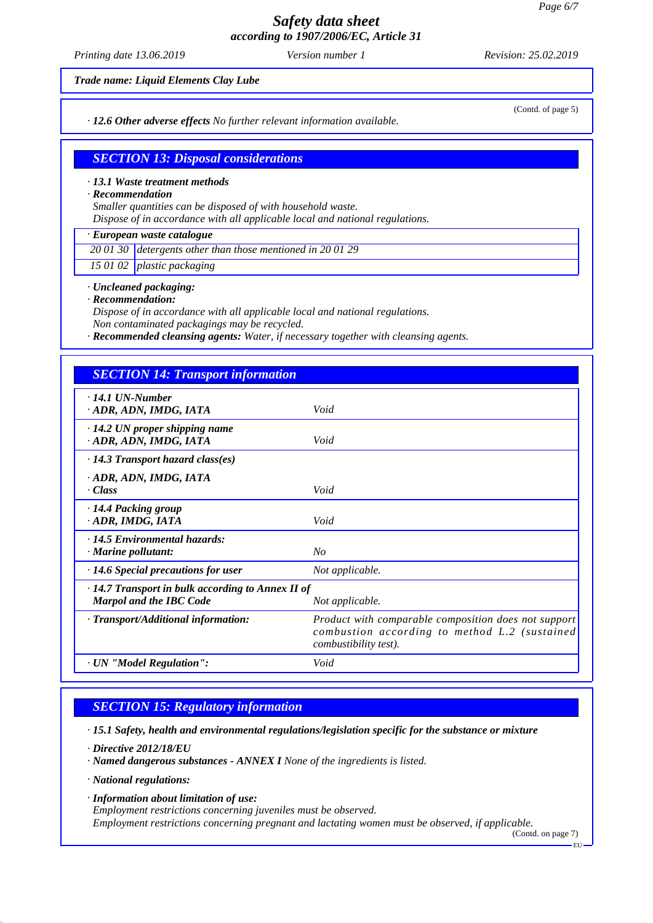*Printing date 13.06.2019 Revision: 25.02.2019 Version number 1*

*Trade name: Liquid Elements Clay Lube*

*· 12.6 Other adverse effects No further relevant information available.*

(Contd. of page 5)

## *SECTION 13: Disposal considerations*

#### *· 13.1 Waste treatment methods*

*· Recommendation*

*Smaller quantities can be disposed of with household waste.*

*Dispose of in accordance with all applicable local and national regulations.*

## *· European waste catalogue*

*20 01 30 detergents other than those mentioned in 20 01 29*

*15 01 02 plastic packaging*

*· Uncleaned packaging:*

*· Recommendation:*

*Dispose of in accordance with all applicable local and national regulations.*

*Non contaminated packagings may be recycled.*

*· Recommended cleansing agents: Water, if necessary together with cleansing agents.*

## *SECTION 14: Transport information*

| $\cdot$ 14.1 UN-Number<br>· ADR, ADN, IMDG, IATA                                                             | Void                                                                                                                                  |  |
|--------------------------------------------------------------------------------------------------------------|---------------------------------------------------------------------------------------------------------------------------------------|--|
| $\cdot$ 14.2 UN proper shipping name<br>ADR, ADN, IMDG, IATA                                                 | Void                                                                                                                                  |  |
| $\cdot$ 14.3 Transport hazard class(es)                                                                      |                                                                                                                                       |  |
| · ADR, ADN, IMDG, IATA<br>· Class                                                                            | Void                                                                                                                                  |  |
| $\cdot$ 14.4 Packing group<br>ADR, IMDG, IATA                                                                | Void                                                                                                                                  |  |
| $\cdot$ 14.5 Environmental hazards:<br>$\cdot$ Marine pollutant:                                             | No                                                                                                                                    |  |
| $\cdot$ 14.6 Special precautions for user                                                                    | Not applicable.                                                                                                                       |  |
| $\cdot$ 14.7 Transport in bulk according to Annex II of<br><b>Marpol and the IBC Code</b><br>Not applicable. |                                                                                                                                       |  |
| · Transport/Additional information:                                                                          | Product with comparable composition does not support<br>combustion according to method L.2 (sustained<br><i>combustibility test).</i> |  |
| · UN "Model Regulation":                                                                                     | Void                                                                                                                                  |  |

## *SECTION 15: Regulatory information*

*· 15.1 Safety, health and environmental regulations/legislation specific for the substance or mixture*

*· Directive 2012/18/EU*

*· Named dangerous substances - ANNEX I None of the ingredients is listed.*

*· National regulations:*

*· Information about limitation of use:*

*Employment restrictions concerning juveniles must be observed.*

*Employment restrictions concerning pregnant and lactating women must be observed, if applicable.*

(Contd. on page 7)

EU